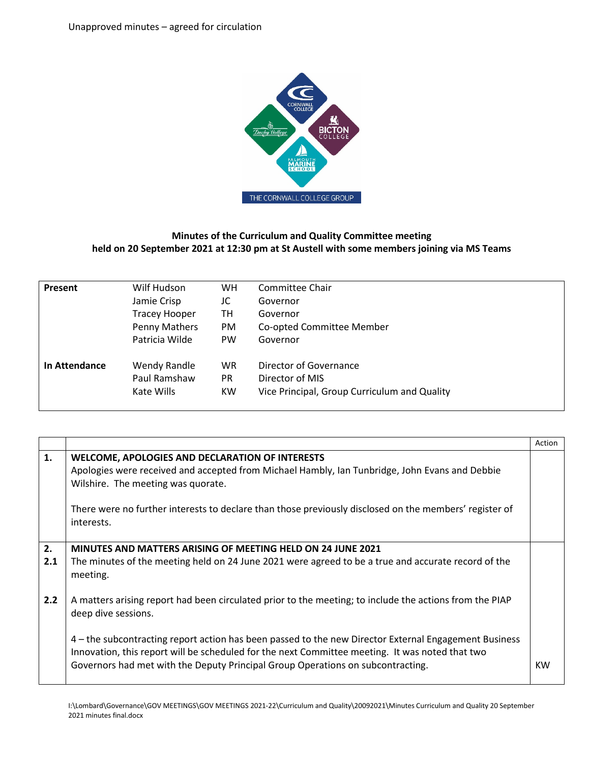

## **Minutes of the Curriculum and Quality Committee meeting held on 20 September 2021 at 12:30 pm at St Austell with some members joining via MS Teams**

| Present       | Wilf Hudson          | <b>WH</b> | Committee Chair                              |
|---------------|----------------------|-----------|----------------------------------------------|
|               | Jamie Crisp          | JC        | Governor                                     |
|               | <b>Tracey Hooper</b> | TН        | Governor                                     |
|               | Penny Mathers        | <b>PM</b> | Co-opted Committee Member                    |
|               | Patricia Wilde       | <b>PW</b> | Governor                                     |
| In Attendance | Wendy Randle         | <b>WR</b> | Director of Governance                       |
|               | Paul Ramshaw         | <b>PR</b> | Director of MIS                              |
|               | Kate Wills           | <b>KW</b> | Vice Principal, Group Curriculum and Quality |

|           |                                                                                                                                                                                                                                                                                                                                                                                                                               | Action |
|-----------|-------------------------------------------------------------------------------------------------------------------------------------------------------------------------------------------------------------------------------------------------------------------------------------------------------------------------------------------------------------------------------------------------------------------------------|--------|
| 1.        | WELCOME, APOLOGIES AND DECLARATION OF INTERESTS<br>Apologies were received and accepted from Michael Hambly, Ian Tunbridge, John Evans and Debbie<br>Wilshire. The meeting was quorate.<br>There were no further interests to declare than those previously disclosed on the members' register of<br>interests.                                                                                                               |        |
| 2.<br>2.1 | MINUTES AND MATTERS ARISING OF MEETING HELD ON 24 JUNE 2021<br>The minutes of the meeting held on 24 June 2021 were agreed to be a true and accurate record of the<br>meeting.                                                                                                                                                                                                                                                |        |
| 2.2       | A matters arising report had been circulated prior to the meeting; to include the actions from the PIAP<br>deep dive sessions.<br>4 – the subcontracting report action has been passed to the new Director External Engagement Business<br>Innovation, this report will be scheduled for the next Committee meeting. It was noted that two<br>Governors had met with the Deputy Principal Group Operations on subcontracting. | KW     |
|           |                                                                                                                                                                                                                                                                                                                                                                                                                               |        |

I:\Lombard\Governance\GOV MEETINGS\GOV MEETINGS 2021-22\Curriculum and Quality\20092021\Minutes Curriculum and Quality 20 September 2021 minutes final.docx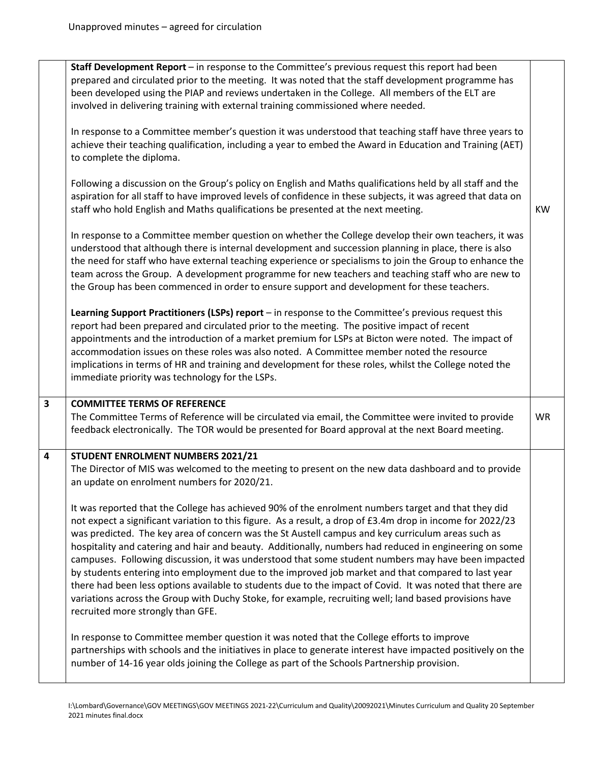|                         | Staff Development Report - in response to the Committee's previous request this report had been<br>prepared and circulated prior to the meeting. It was noted that the staff development programme has<br>been developed using the PIAP and reviews undertaken in the College. All members of the ELT are<br>involved in delivering training with external training commissioned where needed.<br>In response to a Committee member's question it was understood that teaching staff have three years to<br>achieve their teaching qualification, including a year to embed the Award in Education and Training (AET)<br>to complete the diploma.<br>Following a discussion on the Group's policy on English and Maths qualifications held by all staff and the<br>aspiration for all staff to have improved levels of confidence in these subjects, it was agreed that data on<br>staff who hold English and Maths qualifications be presented at the next meeting.<br>In response to a Committee member question on whether the College develop their own teachers, it was<br>understood that although there is internal development and succession planning in place, there is also<br>the need for staff who have external teaching experience or specialisms to join the Group to enhance the<br>team across the Group. A development programme for new teachers and teaching staff who are new to<br>the Group has been commenced in order to ensure support and development for these teachers.<br>Learning Support Practitioners (LSPs) report - in response to the Committee's previous request this<br>report had been prepared and circulated prior to the meeting. The positive impact of recent<br>appointments and the introduction of a market premium for LSPs at Bicton were noted. The impact of<br>accommodation issues on these roles was also noted. A Committee member noted the resource<br>implications in terms of HR and training and development for these roles, whilst the College noted the<br>immediate priority was technology for the LSPs. | <b>KW</b> |
|-------------------------|------------------------------------------------------------------------------------------------------------------------------------------------------------------------------------------------------------------------------------------------------------------------------------------------------------------------------------------------------------------------------------------------------------------------------------------------------------------------------------------------------------------------------------------------------------------------------------------------------------------------------------------------------------------------------------------------------------------------------------------------------------------------------------------------------------------------------------------------------------------------------------------------------------------------------------------------------------------------------------------------------------------------------------------------------------------------------------------------------------------------------------------------------------------------------------------------------------------------------------------------------------------------------------------------------------------------------------------------------------------------------------------------------------------------------------------------------------------------------------------------------------------------------------------------------------------------------------------------------------------------------------------------------------------------------------------------------------------------------------------------------------------------------------------------------------------------------------------------------------------------------------------------------------------------------------------------------------------------------------------------------------------------------------------------------------------------------|-----------|
| $\overline{\mathbf{3}}$ | <b>COMMITTEE TERMS OF REFERENCE</b><br>The Committee Terms of Reference will be circulated via email, the Committee were invited to provide<br>feedback electronically. The TOR would be presented for Board approval at the next Board meeting.                                                                                                                                                                                                                                                                                                                                                                                                                                                                                                                                                                                                                                                                                                                                                                                                                                                                                                                                                                                                                                                                                                                                                                                                                                                                                                                                                                                                                                                                                                                                                                                                                                                                                                                                                                                                                             | WR        |
| $\overline{\mathbf{4}}$ | STUDENT ENROLMENT NUMBERS 2021/21<br>The Director of MIS was welcomed to the meeting to present on the new data dashboard and to provide<br>an update on enrolment numbers for 2020/21.<br>It was reported that the College has achieved 90% of the enrolment numbers target and that they did<br>not expect a significant variation to this figure. As a result, a drop of £3.4m drop in income for 2022/23<br>was predicted. The key area of concern was the St Austell campus and key curriculum areas such as<br>hospitality and catering and hair and beauty. Additionally, numbers had reduced in engineering on some<br>campuses. Following discussion, it was understood that some student numbers may have been impacted<br>by students entering into employment due to the improved job market and that compared to last year<br>there had been less options available to students due to the impact of Covid. It was noted that there are<br>variations across the Group with Duchy Stoke, for example, recruiting well; land based provisions have<br>recruited more strongly than GFE.<br>In response to Committee member question it was noted that the College efforts to improve<br>partnerships with schools and the initiatives in place to generate interest have impacted positively on the<br>number of 14-16 year olds joining the College as part of the Schools Partnership provision.                                                                                                                                                                                                                                                                                                                                                                                                                                                                                                                                                                                                                                                               |           |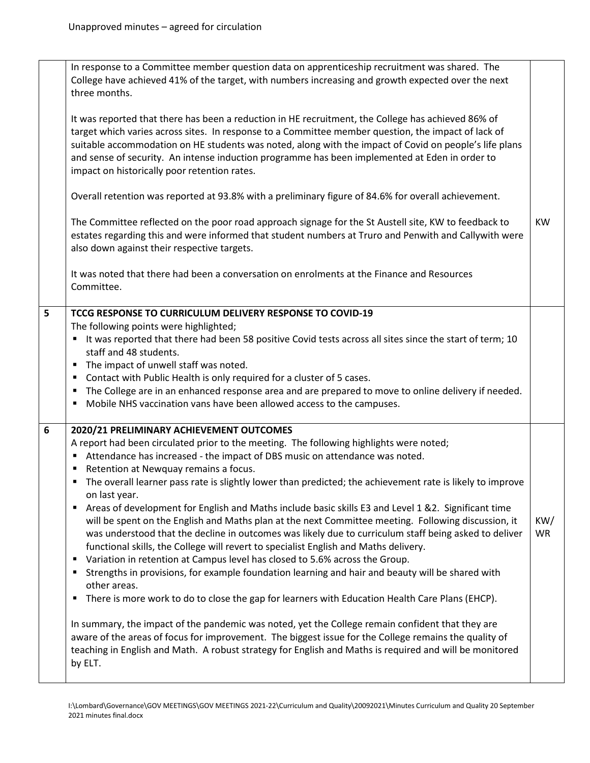|   | In response to a Committee member question data on apprenticeship recruitment was shared. The<br>College have achieved 41% of the target, with numbers increasing and growth expected over the next<br>three months.<br>It was reported that there has been a reduction in HE recruitment, the College has achieved 86% of<br>target which varies across sites. In response to a Committee member question, the impact of lack of<br>suitable accommodation on HE students was noted, along with the impact of Covid on people's life plans<br>and sense of security. An intense induction programme has been implemented at Eden in order to<br>impact on historically poor retention rates.<br>Overall retention was reported at 93.8% with a preliminary figure of 84.6% for overall achievement.<br>The Committee reflected on the poor road approach signage for the St Austell site, KW to feedback to<br>estates regarding this and were informed that student numbers at Truro and Penwith and Callywith were<br>also down against their respective targets.<br>It was noted that there had been a conversation on enrolments at the Finance and Resources                                                                                                                                                                                                                                                                                                         | <b>KW</b>        |
|---|----------------------------------------------------------------------------------------------------------------------------------------------------------------------------------------------------------------------------------------------------------------------------------------------------------------------------------------------------------------------------------------------------------------------------------------------------------------------------------------------------------------------------------------------------------------------------------------------------------------------------------------------------------------------------------------------------------------------------------------------------------------------------------------------------------------------------------------------------------------------------------------------------------------------------------------------------------------------------------------------------------------------------------------------------------------------------------------------------------------------------------------------------------------------------------------------------------------------------------------------------------------------------------------------------------------------------------------------------------------------------------------------------------------------------------------------------------------------------|------------------|
|   | Committee.                                                                                                                                                                                                                                                                                                                                                                                                                                                                                                                                                                                                                                                                                                                                                                                                                                                                                                                                                                                                                                                                                                                                                                                                                                                                                                                                                                                                                                                                 |                  |
| 5 | TCCG RESPONSE TO CURRICULUM DELIVERY RESPONSE TO COVID-19<br>The following points were highlighted;<br>It was reported that there had been 58 positive Covid tests across all sites since the start of term; 10<br>staff and 48 students.<br>The impact of unwell staff was noted.<br>٠<br>Contact with Public Health is only required for a cluster of 5 cases.<br>٠<br>The College are in an enhanced response area and are prepared to move to online delivery if needed.<br>٠<br>Mobile NHS vaccination vans have been allowed access to the campuses.<br>٠                                                                                                                                                                                                                                                                                                                                                                                                                                                                                                                                                                                                                                                                                                                                                                                                                                                                                                            |                  |
| 6 | 2020/21 PRELIMINARY ACHIEVEMENT OUTCOMES<br>A report had been circulated prior to the meeting. The following highlights were noted;<br>Attendance has increased - the impact of DBS music on attendance was noted.<br>Retention at Newquay remains a focus.<br>п<br>The overall learner pass rate is slightly lower than predicted; the achievement rate is likely to improve<br>on last year.<br>Areas of development for English and Maths include basic skills E3 and Level 1 &2. Significant time<br>٠<br>will be spent on the English and Maths plan at the next Committee meeting. Following discussion, it<br>was understood that the decline in outcomes was likely due to curriculum staff being asked to deliver<br>functional skills, the College will revert to specialist English and Maths delivery.<br>Variation in retention at Campus level has closed to 5.6% across the Group.<br>п<br>Strengths in provisions, for example foundation learning and hair and beauty will be shared with<br>п<br>other areas.<br>There is more work to do to close the gap for learners with Education Health Care Plans (EHCP).<br>٠<br>In summary, the impact of the pandemic was noted, yet the College remain confident that they are<br>aware of the areas of focus for improvement. The biggest issue for the College remains the quality of<br>teaching in English and Math. A robust strategy for English and Maths is required and will be monitored<br>by ELT. | KW/<br><b>WR</b> |